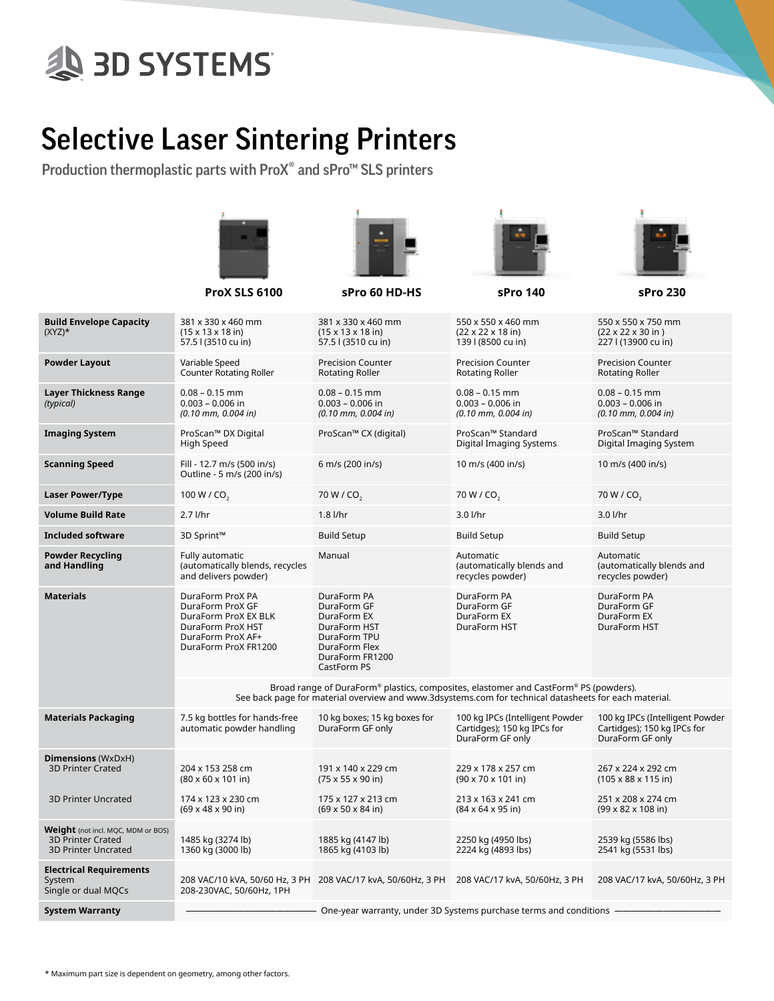## **SD SYSTEMS**

## Selective Laser Sintering Printers

Production thermoplastic parts with ProX<sup>®</sup> and sPro<sup>™</sup> SLS printers





**ProX SLS 6100 sPro 60 HD-HS sPro 140 sPro 230**



 $550 - 550 - 350$ 



| <b>Build Envelope Capacity</b><br>$(XYZ)^*$                                                  | 381 x 330 x 460 mm<br>$(15 \times 13 \times 18)$ in)<br>57.5 l (3510 cu in)                                                                                                                   | 381 x 330 x 460 mm<br>$(15 \times 13 \times 18)$ in)<br>57.5 l (3510 cu in)                                                  | 550 x 550 x 460 mm<br>$(22 \times 22 \times 18)$ in)<br>139 l (8500 cu in)         | 550 x 550 x 750 mm<br>$(22 \times 22 \times 30)$ in )<br>227 l (13900 cu in)       |  |  |  |  |
|----------------------------------------------------------------------------------------------|-----------------------------------------------------------------------------------------------------------------------------------------------------------------------------------------------|------------------------------------------------------------------------------------------------------------------------------|------------------------------------------------------------------------------------|------------------------------------------------------------------------------------|--|--|--|--|
| <b>Powder Layout</b>                                                                         | Variable Speed<br><b>Counter Rotating Roller</b>                                                                                                                                              | <b>Precision Counter</b><br><b>Rotating Roller</b>                                                                           | <b>Precision Counter</b><br><b>Rotating Roller</b>                                 | <b>Precision Counter</b><br>Rotating Roller                                        |  |  |  |  |
| <b>Layer Thickness Range</b><br>(typical)                                                    | $0.08 - 0.15$ mm<br>$0.003 - 0.006$ in<br>$(0.10 \text{ mm}, 0.004 \text{ in})$                                                                                                               | $0.08 - 0.15$ mm<br>$0.003 - 0.006$ in<br>$(0.10 \text{ mm}, 0.004 \text{ in})$                                              | $0.08 - 0.15$ mm<br>$0.003 - 0.006$ in<br>$(0.10$ mm, $0.004$ in)                  | $0.08 - 0.15$ mm<br>$0.003 - 0.006$ in<br>$(0.10$ mm, $0.004$ in)                  |  |  |  |  |
| <b>Imaging System</b>                                                                        | ProScan™ DX Digital<br>High Speed                                                                                                                                                             | ProScan™ CX (digital)                                                                                                        | ProScan™ Standard<br>Digital Imaging Systems                                       | ProScan™ Standard<br>Digital Imaging System                                        |  |  |  |  |
| <b>Scanning Speed</b>                                                                        | Fill - 12.7 m/s (500 in/s)<br>Outline - 5 m/s (200 in/s)                                                                                                                                      | 6 m/s (200 in/s)                                                                                                             | 10 m/s (400 in/s)                                                                  | 10 m/s (400 in/s)                                                                  |  |  |  |  |
| <b>Laser Power/Type</b>                                                                      | 100 W / CO <sub>2</sub>                                                                                                                                                                       | 70 W / CO <sub>2</sub>                                                                                                       | 70 W / CO <sub>2</sub>                                                             | 70 W / CO <sub>2</sub>                                                             |  |  |  |  |
| <b>Volume Build Rate</b>                                                                     | $2.7$ $I/hr$                                                                                                                                                                                  | $1.8$ $I/hr$                                                                                                                 | 3.0 l/hr                                                                           | $3.0$ $I/hr$                                                                       |  |  |  |  |
| <b>Included software</b>                                                                     | 3D Sprint™                                                                                                                                                                                    | <b>Build Setup</b>                                                                                                           | <b>Build Setup</b>                                                                 | <b>Build Setup</b>                                                                 |  |  |  |  |
| <b>Powder Recycling</b><br>and Handling                                                      | Fully automatic<br>(automatically blends, recycles<br>and delivers powder)                                                                                                                    | Manual                                                                                                                       | Automatic<br>(automatically blends and<br>recycles powder)                         | Automatic<br>(automatically blends and<br>recycles powder)                         |  |  |  |  |
| <b>Materials</b>                                                                             | DuraForm ProX PA<br>DuraForm ProX GF<br>DuraForm ProX EX BLK<br>DuraForm ProX HST<br>DuraForm ProX AF+<br>DuraForm ProX FR1200                                                                | DuraForm PA<br>DuraForm GF<br>DuraForm EX<br>DuraForm HST<br>DuraForm TPU<br>DuraForm Flex<br>DuraForm FR1200<br>CastForm PS | DuraForm PA<br>DuraForm GF<br>DuraForm EX<br>DuraForm HST                          | DuraForm PA<br>DuraForm GF<br>DuraForm EX<br>DuraForm HST                          |  |  |  |  |
|                                                                                              | Broad range of DuraForm® plastics, composites, elastomer and CastForm® PS (powders).<br>See back page for material overview and www.3dsystems.com for technical datasheets for each material. |                                                                                                                              |                                                                                    |                                                                                    |  |  |  |  |
| <b>Materials Packaging</b>                                                                   | 7.5 kg bottles for hands-free<br>automatic powder handling                                                                                                                                    | 10 kg boxes; 15 kg boxes for<br>DuraForm GF only                                                                             | 100 kg IPCs (Intelligent Powder<br>Cartidges); 150 kg IPCs for<br>DuraForm GF only | 100 kg IPCs (Intelligent Powder<br>Cartidges); 150 kg IPCs for<br>DuraForm GF only |  |  |  |  |
| <b>Dimensions (WxDxH)</b><br><b>3D Printer Crated</b>                                        | 204 x 153 258 cm<br>$(80 \times 60 \times 101)$ in)                                                                                                                                           | 191 x 140 x 229 cm<br>$(75 \times 55 \times 90)$ in)                                                                         | 229 x 178 x 257 cm<br>(90 x 70 x 101 in)                                           | 267 x 224 x 292 cm<br>$(105 \times 88 \times 115 \text{ in})$                      |  |  |  |  |
| <b>3D Printer Uncrated</b>                                                                   | 174 x 123 x 230 cm<br>$(69 \times 48 \times 90)$ in)                                                                                                                                          | 175 x 127 x 213 cm<br>$(69 \times 50 \times 84)$ in)                                                                         | 213 x 163 x 241 cm<br>$(84 \times 64 \times 95)$ in)                               | 251 x 208 x 274 cm<br>$(99 \times 82 \times 108)$ in)                              |  |  |  |  |
| Weight (not incl. MQC, MDM or BOS)<br><b>3D Printer Crated</b><br><b>3D Printer Uncrated</b> | 1485 kg (3274 lb)<br>1360 kg (3000 lb)                                                                                                                                                        | 1885 kg (4147 lb)<br>1865 kg (4103 lb)                                                                                       | 2250 kg (4950 lbs)<br>2224 kg (4893 lbs)                                           | 2539 kg (5586 lbs)<br>2541 kg (5531 lbs)                                           |  |  |  |  |
| <b>Electrical Requirements</b><br>System<br>Single or dual MQCs                              | 208-230VAC, 50/60Hz, 1PH                                                                                                                                                                      | 208 VAC/10 kVA, 50/60 Hz, 3 PH 208 VAC/17 kvA, 50/60Hz, 3 PH 208 VAC/17 kvA, 50/60Hz, 3 PH                                   |                                                                                    | 208 VAC/17 kvA, 50/60Hz, 3 PH                                                      |  |  |  |  |
| <b>System Warranty</b>                                                                       |                                                                                                                                                                                               |                                                                                                                              | One-year warranty, under 3D Systems purchase terms and conditions -                |                                                                                    |  |  |  |  |